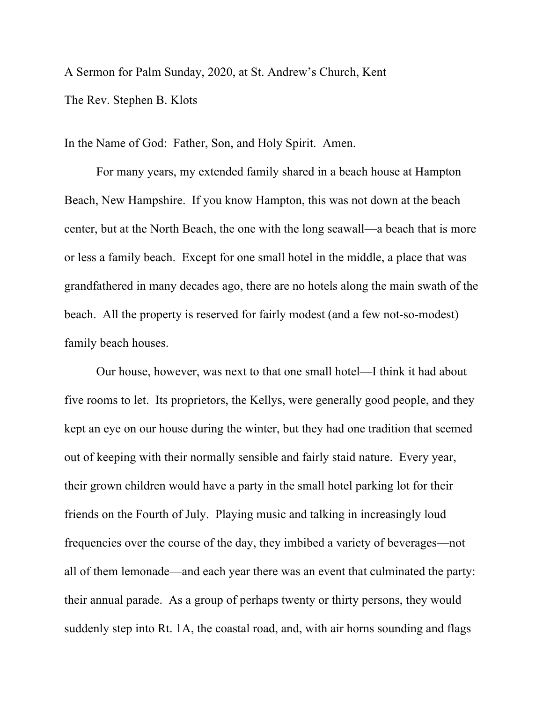A Sermon for Palm Sunday, 2020, at St. Andrew's Church, Kent The Rev. Stephen B. Klots

In the Name of God: Father, Son, and Holy Spirit. Amen.

For many years, my extended family shared in a beach house at Hampton Beach, New Hampshire. If you know Hampton, this was not down at the beach center, but at the North Beach, the one with the long seawall—a beach that is more or less a family beach. Except for one small hotel in the middle, a place that was grandfathered in many decades ago, there are no hotels along the main swath of the beach. All the property is reserved for fairly modest (and a few not-so-modest) family beach houses.

Our house, however, was next to that one small hotel—I think it had about five rooms to let. Its proprietors, the Kellys, were generally good people, and they kept an eye on our house during the winter, but they had one tradition that seemed out of keeping with their normally sensible and fairly staid nature. Every year, their grown children would have a party in the small hotel parking lot for their friends on the Fourth of July. Playing music and talking in increasingly loud frequencies over the course of the day, they imbibed a variety of beverages—not all of them lemonade—and each year there was an event that culminated the party: their annual parade. As a group of perhaps twenty or thirty persons, they would suddenly step into Rt. 1A, the coastal road, and, with air horns sounding and flags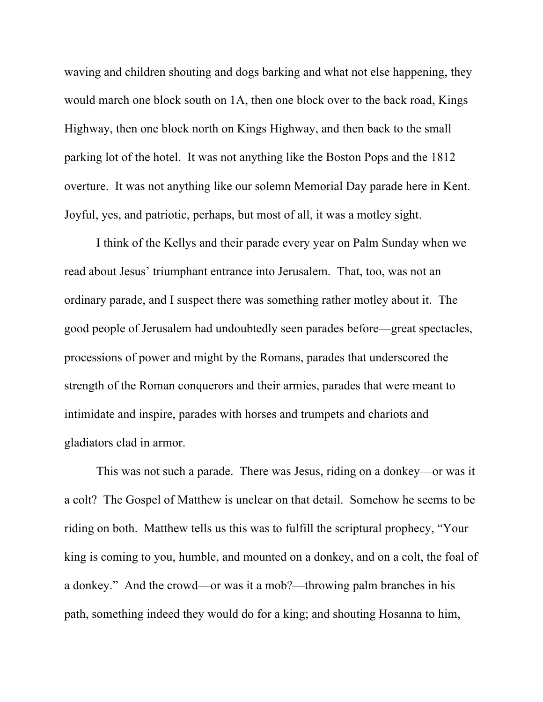waving and children shouting and dogs barking and what not else happening, they would march one block south on 1A, then one block over to the back road, Kings Highway, then one block north on Kings Highway, and then back to the small parking lot of the hotel. It was not anything like the Boston Pops and the 1812 overture. It was not anything like our solemn Memorial Day parade here in Kent. Joyful, yes, and patriotic, perhaps, but most of all, it was a motley sight.

I think of the Kellys and their parade every year on Palm Sunday when we read about Jesus' triumphant entrance into Jerusalem. That, too, was not an ordinary parade, and I suspect there was something rather motley about it. The good people of Jerusalem had undoubtedly seen parades before—great spectacles, processions of power and might by the Romans, parades that underscored the strength of the Roman conquerors and their armies, parades that were meant to intimidate and inspire, parades with horses and trumpets and chariots and gladiators clad in armor.

This was not such a parade. There was Jesus, riding on a donkey—or was it a colt? The Gospel of Matthew is unclear on that detail. Somehow he seems to be riding on both. Matthew tells us this was to fulfill the scriptural prophecy, "Your king is coming to you, humble, and mounted on a donkey, and on a colt, the foal of a donkey." And the crowd—or was it a mob?—throwing palm branches in his path, something indeed they would do for a king; and shouting Hosanna to him,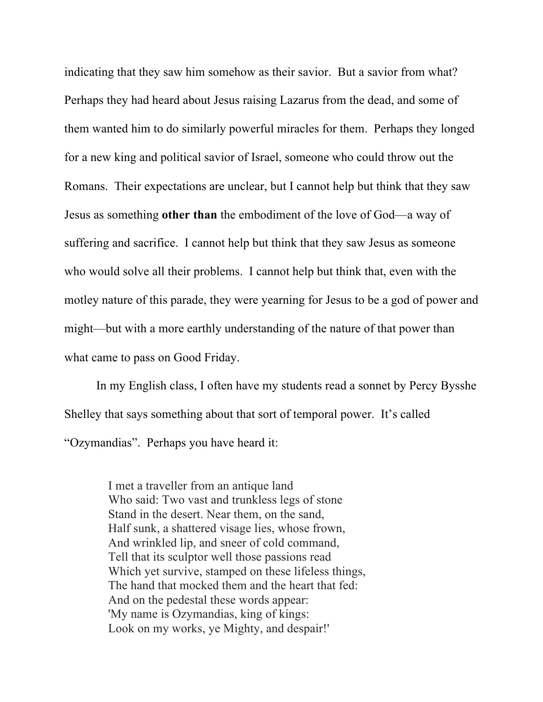indicating that they saw him somehow as their savior. But a savior from what? Perhaps they had heard about Jesus raising Lazarus from the dead, and some of them wanted him to do similarly powerful miracles for them. Perhaps they longed for a new king and political savior of Israel, someone who could throw out the Romans. Their expectations are unclear, but I cannot help but think that they saw Jesus as something **other than** the embodiment of the love of God—a way of suffering and sacrifice. I cannot help but think that they saw Jesus as someone who would solve all their problems. I cannot help but think that, even with the motley nature of this parade, they were yearning for Jesus to be a god of power and might—but with a more earthly understanding of the nature of that power than what came to pass on Good Friday.

In my English class, I often have my students read a sonnet by Percy Bysshe Shelley that says something about that sort of temporal power. It's called "Ozymandias". Perhaps you have heard it:

> I met a traveller from an antique land Who said: Two vast and trunkless legs of stone Stand in the desert. Near them, on the sand, Half sunk, a shattered visage lies, whose frown, And wrinkled lip, and sneer of cold command, Tell that its sculptor well those passions read Which yet survive, stamped on these lifeless things, The hand that mocked them and the heart that fed: And on the pedestal these words appear: 'My name is Ozymandias, king of kings: Look on my works, ye Mighty, and despair!'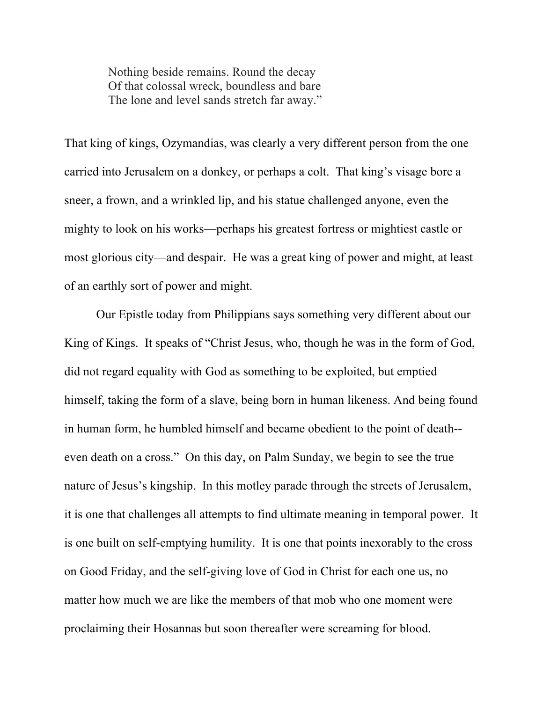Nothing beside remains. Round the decay Of that colossal wreck, boundless and bare The lone and level sands stretch far away."

That king of kings, Ozymandias, was clearly a very different person from the one carried into Jerusalem on a donkey, or perhaps a colt. That king's visage bore a sneer, a frown, and a wrinkled lip, and his statue challenged anyone, even the mighty to look on his works—perhaps his greatest fortress or mightiest castle or most glorious city—and despair. He was a great king of power and might, at least of an earthly sort of power and might.

Our Epistle today from Philippians says something very different about our King of Kings. It speaks of "Christ Jesus, who, though he was in the form of God, did not regard equality with God as something to be exploited, but emptied himself, taking the form of a slave, being born in human likeness. And being found in human form, he humbled himself and became obedient to the point of death- even death on a cross." On this day, on Palm Sunday, we begin to see the true nature of Jesus's kingship. In this motley parade through the streets of Jerusalem, it is one that challenges all attempts to find ultimate meaning in temporal power. It is one built on self-emptying humility. It is one that points inexorably to the cross on Good Friday, and the self-giving love of God in Christ for each one us, no matter how much we are like the members of that mob who one moment were proclaiming their Hosannas but soon thereafter were screaming for blood.